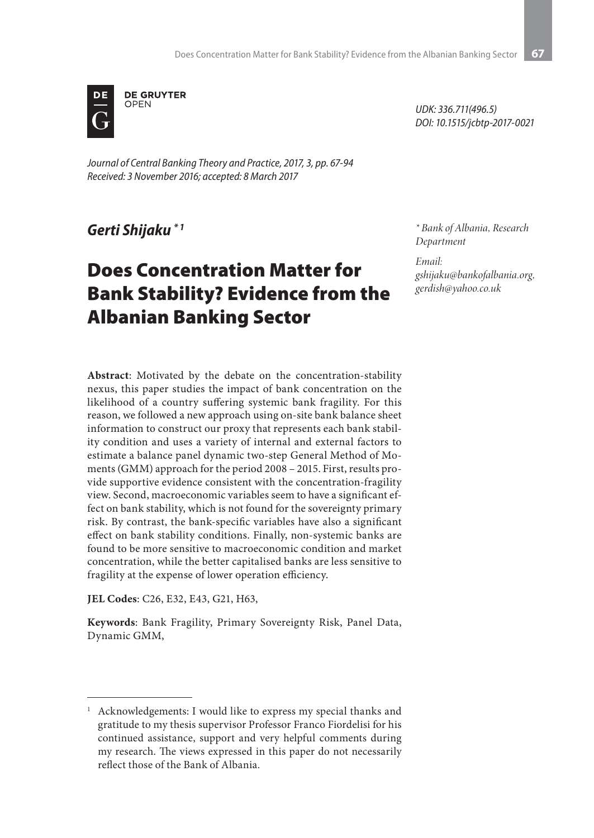

*Journal of Central Banking Theory and Practice, 2017, 3, pp. 67-94 Received: 3 November 2016; accepted: 8 March 2017*

*Gerti Shijaku \* 1*

# Does Concentration Matter for Bank Stability? Evidence from the Albanian Banking Sector

**Abstract**: Motivated by the debate on the concentration-stability nexus, this paper studies the impact of bank concentration on the likelihood of a country suffering systemic bank fragility. For this reason, we followed a new approach using on-site bank balance sheet information to construct our proxy that represents each bank stability condition and uses a variety of internal and external factors to estimate a balance panel dynamic two-step General Method of Moments (GMM) approach for the period 2008 – 2015. First, results provide supportive evidence consistent with the concentration-fragility view. Second, macroeconomic variables seem to have a significant effect on bank stability, which is not found for the sovereignty primary risk. By contrast, the bank-specific variables have also a significant effect on bank stability conditions. Finally, non-systemic banks are found to be more sensitive to macroeconomic condition and market concentration, while the better capitalised banks are less sensitive to fragility at the expense of lower operation efficiency.

**JEL Codes**: C26, E32, E43, G21, H63,

**Keywords**: Bank Fragility, Primary Sovereignty Risk, Panel Data, Dynamic GMM,

*UDK: 336.711(496.5) DOI: 10.1515/jcbtp-2017-0021*

*\* Bank of Albania, Research Department*

*Email: gshijaku@bankofalbania.org, gerdish@yahoo.co.uk*

Acknowledgements: I would like to express my special thanks and gratitude to my thesis supervisor Professor Franco Fiordelisi for his continued assistance, support and very helpful comments during my research. The views expressed in this paper do not necessarily reflect those of the Bank of Albania.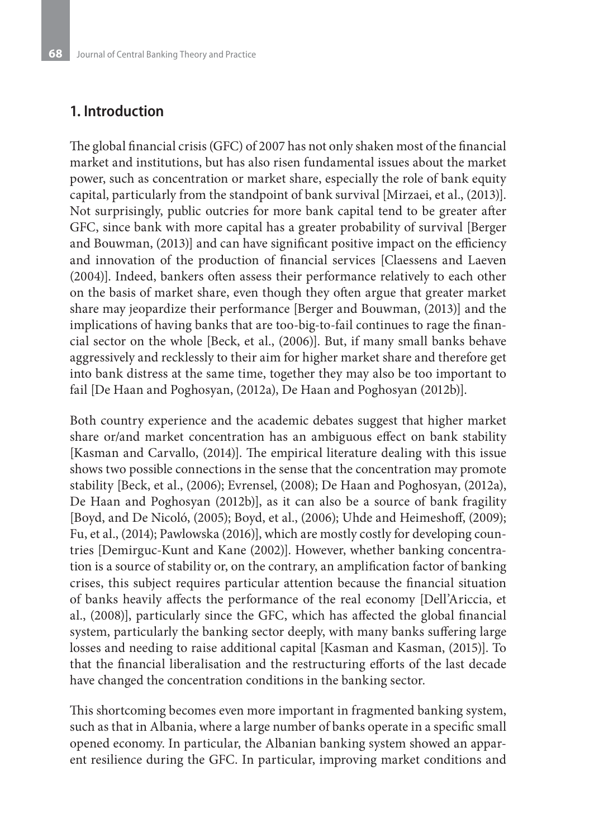# **1. Introduction**

The global financial crisis (GFC) of 2007 has not only shaken most of the financial market and institutions, but has also risen fundamental issues about the market power, such as concentration or market share, especially the role of bank equity capital, particularly from the standpoint of bank survival [Mirzaei, et al., (2013)]. Not surprisingly, public outcries for more bank capital tend to be greater after GFC, since bank with more capital has a greater probability of survival [Berger and Bouwman, (2013)] and can have significant positive impact on the efficiency and innovation of the production of financial services [Claessens and Laeven (2004)]. Indeed, bankers often assess their performance relatively to each other on the basis of market share, even though they often argue that greater market share may jeopardize their performance [Berger and Bouwman, (2013)] and the implications of having banks that are too-big-to-fail continues to rage the financial sector on the whole [Beck, et al., (2006)]. But, if many small banks behave aggressively and recklessly to their aim for higher market share and therefore get into bank distress at the same time, together they may also be too important to fail [De Haan and Poghosyan, (2012a), De Haan and Poghosyan (2012b)].

Both country experience and the academic debates suggest that higher market share or/and market concentration has an ambiguous effect on bank stability [Kasman and Carvallo, (2014)]. The empirical literature dealing with this issue shows two possible connections in the sense that the concentration may promote stability [Beck, et al., (2006); Evrensel, (2008); De Haan and Poghosyan, (2012a), De Haan and Poghosyan (2012b)], as it can also be a source of bank fragility [Boyd, and De Nicoló, (2005); Boyd, et al., (2006); Uhde and Heimeshoff, (2009); Fu, et al., (2014); Pawlowska (2016)], which are mostly costly for developing countries [Demirguc-Kunt and Kane (2002)]. However, whether banking concentration is a source of stability or, on the contrary, an amplification factor of banking crises, this subject requires particular attention because the financial situation of banks heavily affects the performance of the real economy [Dell'Ariccia, et al., (2008)], particularly since the GFC, which has affected the global financial system, particularly the banking sector deeply, with many banks suffering large losses and needing to raise additional capital [Kasman and Kasman, (2015)]. To that the financial liberalisation and the restructuring efforts of the last decade have changed the concentration conditions in the banking sector.

This shortcoming becomes even more important in fragmented banking system, such as that in Albania, where a large number of banks operate in a specific small opened economy. In particular, the Albanian banking system showed an apparent resilience during the GFC. In particular, improving market conditions and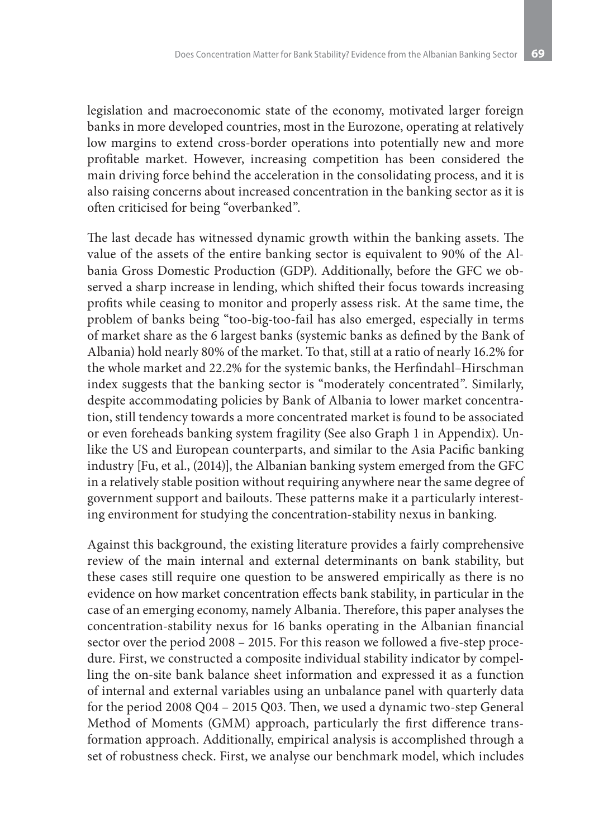legislation and macroeconomic state of the economy, motivated larger foreign banks in more developed countries, most in the Eurozone, operating at relatively low margins to extend cross-border operations into potentially new and more profitable market. However, increasing competition has been considered the main driving force behind the acceleration in the consolidating process, and it is also raising concerns about increased concentration in the banking sector as it is often criticised for being "overbanked".

The last decade has witnessed dynamic growth within the banking assets. The value of the assets of the entire banking sector is equivalent to 90% of the Albania Gross Domestic Production (GDP). Additionally, before the GFC we observed a sharp increase in lending, which shifted their focus towards increasing profits while ceasing to monitor and properly assess risk. At the same time, the problem of banks being "too-big-too-fail has also emerged, especially in terms of market share as the 6 largest banks (systemic banks as defined by the Bank of Albania) hold nearly 80% of the market. To that, still at a ratio of nearly 16.2% for the whole market and 22.2% for the systemic banks, the Herfindahl–Hirschman index suggests that the banking sector is "moderately concentrated". Similarly, despite accommodating policies by Bank of Albania to lower market concentration, still tendency towards a more concentrated market is found to be associated or even foreheads banking system fragility (See also Graph 1 in Appendix). Unlike the US and European counterparts, and similar to the Asia Pacific banking industry [Fu, et al., (2014)], the Albanian banking system emerged from the GFC in a relatively stable position without requiring anywhere near the same degree of government support and bailouts. These patterns make it a particularly interesting environment for studying the concentration-stability nexus in banking.

Against this background, the existing literature provides a fairly comprehensive review of the main internal and external determinants on bank stability, but these cases still require one question to be answered empirically as there is no evidence on how market concentration effects bank stability, in particular in the case of an emerging economy, namely Albania. Therefore, this paper analyses the concentration-stability nexus for 16 banks operating in the Albanian financial sector over the period 2008 – 2015. For this reason we followed a five-step procedure. First, we constructed a composite individual stability indicator by compelling the on-site bank balance sheet information and expressed it as a function of internal and external variables using an unbalance panel with quarterly data for the period 2008 Q04 – 2015 Q03. Then, we used a dynamic two-step General Method of Moments (GMM) approach, particularly the first difference transformation approach. Additionally, empirical analysis is accomplished through a set of robustness check. First, we analyse our benchmark model, which includes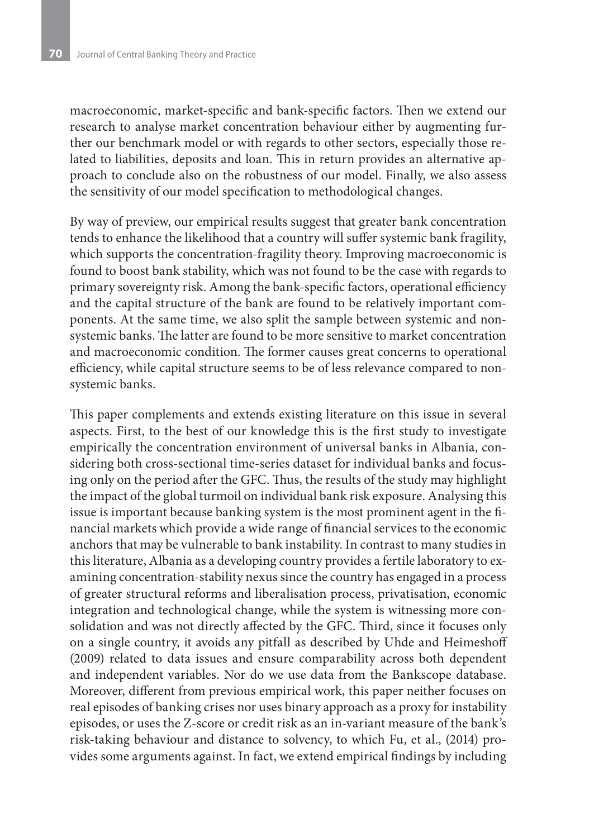macroeconomic, market-specific and bank-specific factors. Then we extend our research to analyse market concentration behaviour either by augmenting further our benchmark model or with regards to other sectors, especially those related to liabilities, deposits and loan. This in return provides an alternative approach to conclude also on the robustness of our model. Finally, we also assess the sensitivity of our model specification to methodological changes.

By way of preview, our empirical results suggest that greater bank concentration tends to enhance the likelihood that a country will suffer systemic bank fragility, which supports the concentration-fragility theory. Improving macroeconomic is found to boost bank stability, which was not found to be the case with regards to primary sovereignty risk. Among the bank-specific factors, operational efficiency and the capital structure of the bank are found to be relatively important components. At the same time, we also split the sample between systemic and nonsystemic banks. The latter are found to be more sensitive to market concentration and macroeconomic condition. The former causes great concerns to operational efficiency, while capital structure seems to be of less relevance compared to nonsystemic banks.

This paper complements and extends existing literature on this issue in several aspects. First, to the best of our knowledge this is the first study to investigate empirically the concentration environment of universal banks in Albania, considering both cross-sectional time-series dataset for individual banks and focusing only on the period after the GFC. Thus, the results of the study may highlight the impact of the global turmoil on individual bank risk exposure. Analysing this issue is important because banking system is the most prominent agent in the financial markets which provide a wide range of financial services to the economic anchors that may be vulnerable to bank instability. In contrast to many studies in this literature, Albania as a developing country provides a fertile laboratory to examining concentration-stability nexus since the country has engaged in a process of greater structural reforms and liberalisation process, privatisation, economic integration and technological change, while the system is witnessing more consolidation and was not directly affected by the GFC. Third, since it focuses only on a single country, it avoids any pitfall as described by Uhde and Heimeshoff (2009) related to data issues and ensure comparability across both dependent and independent variables. Nor do we use data from the Bankscope database. Moreover, different from previous empirical work, this paper neither focuses on real episodes of banking crises nor uses binary approach as a proxy for instability episodes, or uses the Z-score or credit risk as an in-variant measure of the bank's risk-taking behaviour and distance to solvency, to which Fu, et al., (2014) provides some arguments against. In fact, we extend empirical findings by including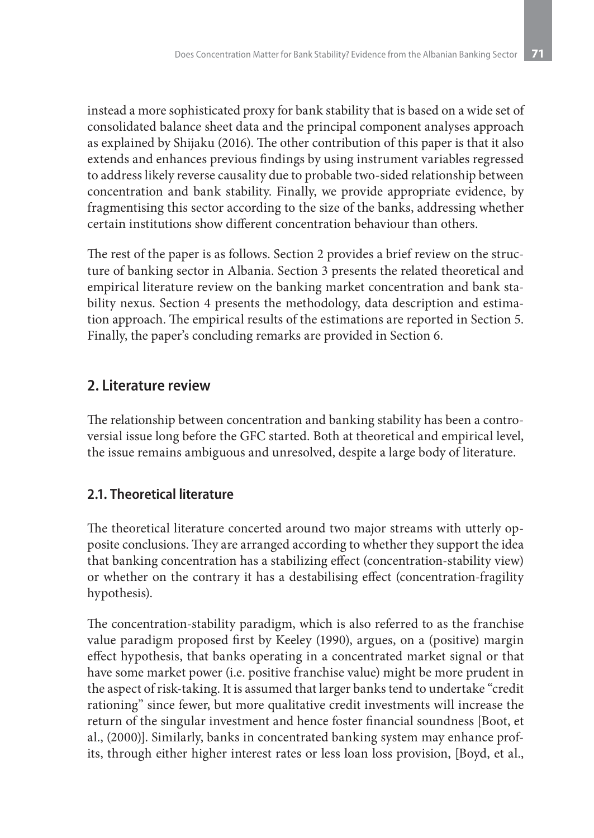instead a more sophisticated proxy for bank stability that is based on a wide set of consolidated balance sheet data and the principal component analyses approach as explained by Shijaku (2016). The other contribution of this paper is that it also extends and enhances previous findings by using instrument variables regressed to address likely reverse causality due to probable two-sided relationship between concentration and bank stability. Finally, we provide appropriate evidence, by fragmentising this sector according to the size of the banks, addressing whether certain institutions show different concentration behaviour than others.

The rest of the paper is as follows. Section 2 provides a brief review on the structure of banking sector in Albania. Section 3 presents the related theoretical and empirical literature review on the banking market concentration and bank stability nexus. Section 4 presents the methodology, data description and estimation approach. The empirical results of the estimations are reported in Section 5. Finally, the paper's concluding remarks are provided in Section 6.

# **2. Literature review**

The relationship between concentration and banking stability has been a controversial issue long before the GFC started. Both at theoretical and empirical level, the issue remains ambiguous and unresolved, despite a large body of literature.

# **2.1. Theoretical literature**

The theoretical literature concerted around two major streams with utterly opposite conclusions. They are arranged according to whether they support the idea that banking concentration has a stabilizing effect (concentration-stability view) or whether on the contrary it has a destabilising effect (concentration-fragility hypothesis).

The concentration-stability paradigm, which is also referred to as the franchise value paradigm proposed first by Keeley (1990), argues, on a (positive) margin effect hypothesis, that banks operating in a concentrated market signal or that have some market power (i.e. positive franchise value) might be more prudent in the aspect of risk-taking. It is assumed that larger banks tend to undertake "credit rationing" since fewer, but more qualitative credit investments will increase the return of the singular investment and hence foster financial soundness [Boot, et al., (2000)]. Similarly, banks in concentrated banking system may enhance profits, through either higher interest rates or less loan loss provision, [Boyd, et al.,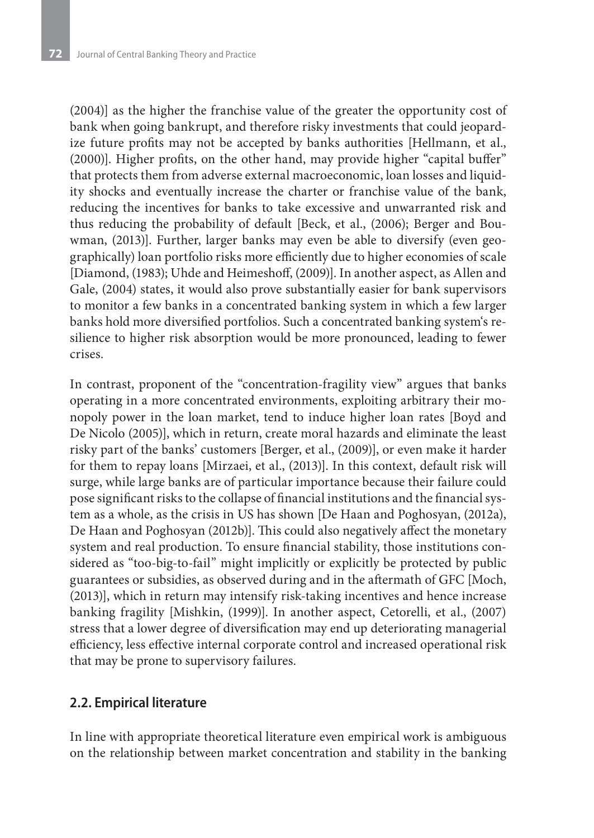(2004)] as the higher the franchise value of the greater the opportunity cost of bank when going bankrupt, and therefore risky investments that could jeopardize future profits may not be accepted by banks authorities [Hellmann, et al., (2000)]. Higher profits, on the other hand, may provide higher "capital buffer" that protects them from adverse external macroeconomic, loan losses and liquidity shocks and eventually increase the charter or franchise value of the bank, reducing the incentives for banks to take excessive and unwarranted risk and thus reducing the probability of default [Beck, et al., (2006); Berger and Bouwman, (2013)]. Further, larger banks may even be able to diversify (even geographically) loan portfolio risks more efficiently due to higher economies of scale [Diamond, (1983); Uhde and Heimeshoff, (2009)]. In another aspect, as Allen and Gale, (2004) states, it would also prove substantially easier for bank supervisors to monitor a few banks in a concentrated banking system in which a few larger banks hold more diversified portfolios. Such a concentrated banking system's resilience to higher risk absorption would be more pronounced, leading to fewer crises.

In contrast, proponent of the "concentration-fragility view" argues that banks operating in a more concentrated environments, exploiting arbitrary their monopoly power in the loan market, tend to induce higher loan rates [Boyd and De Nicolo (2005)], which in return, create moral hazards and eliminate the least risky part of the banks' customers [Berger, et al., (2009)], or even make it harder for them to repay loans [Mirzaei, et al., (2013)]. In this context, default risk will surge, while large banks are of particular importance because their failure could pose significant risks to the collapse of financial institutions and the financial system as a whole, as the crisis in US has shown [De Haan and Poghosyan, (2012a), De Haan and Poghosyan (2012b)]. This could also negatively affect the monetary system and real production. To ensure financial stability, those institutions considered as "too-big-to-fail" might implicitly or explicitly be protected by public guarantees or subsidies, as observed during and in the aftermath of GFC [Moch, (2013)], which in return may intensify risk-taking incentives and hence increase banking fragility [Mishkin, (1999)]. In another aspect, Cetorelli, et al., (2007) stress that a lower degree of diversification may end up deteriorating managerial efficiency, less effective internal corporate control and increased operational risk that may be prone to supervisory failures.

### **2.2. Empirical literature**

In line with appropriate theoretical literature even empirical work is ambiguous on the relationship between market concentration and stability in the banking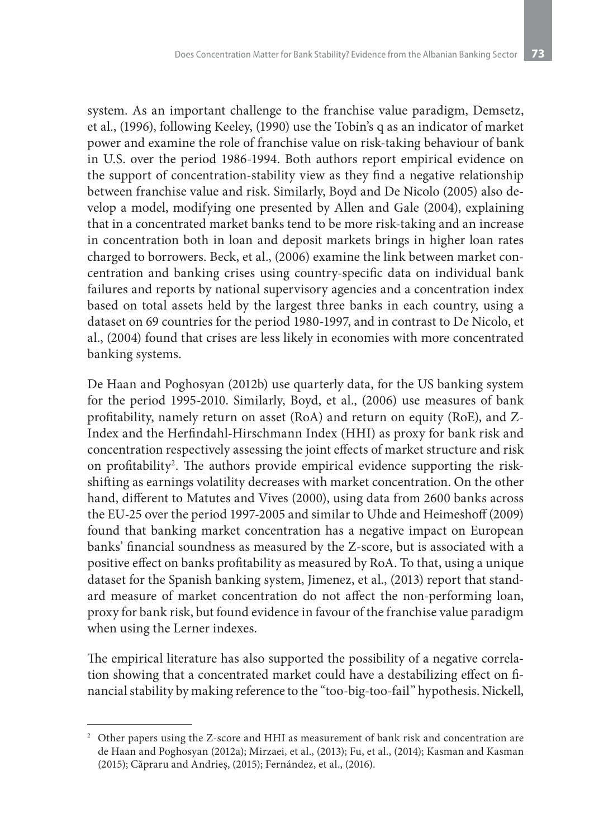system. As an important challenge to the franchise value paradigm, Demsetz, et al., (1996), following Keeley, (1990) use the Tobin's q as an indicator of market power and examine the role of franchise value on risk-taking behaviour of bank in U.S. over the period 1986-1994. Both authors report empirical evidence on the support of concentration-stability view as they find a negative relationship between franchise value and risk. Similarly, Boyd and De Nicolo (2005) also develop a model, modifying one presented by Allen and Gale (2004), explaining that in a concentrated market banks tend to be more risk-taking and an increase in concentration both in loan and deposit markets brings in higher loan rates charged to borrowers. Beck, et al., (2006) examine the link between market concentration and banking crises using country-specific data on individual bank failures and reports by national supervisory agencies and a concentration index based on total assets held by the largest three banks in each country, using a dataset on 69 countries for the period 1980-1997, and in contrast to De Nicolo, et al., (2004) found that crises are less likely in economies with more concentrated banking systems.

De Haan and Poghosyan (2012b) use quarterly data, for the US banking system for the period 1995-2010. Similarly, Boyd, et al., (2006) use measures of bank profitability, namely return on asset (RoA) and return on equity (RoE), and Z-Index and the Herfindahl-Hirschmann Index (HHI) as proxy for bank risk and concentration respectively assessing the joint effects of market structure and risk on profitability<sup>2</sup>. The authors provide empirical evidence supporting the riskshifting as earnings volatility decreases with market concentration. On the other hand, different to Matutes and Vives (2000), using data from 2600 banks across the EU-25 over the period 1997-2005 and similar to Uhde and Heimeshoff (2009) found that banking market concentration has a negative impact on European banks' financial soundness as measured by the Z-score, but is associated with a positive effect on banks profitability as measured by RoA. To that, using a unique dataset for the Spanish banking system, Jimenez, et al., (2013) report that standard measure of market concentration do not affect the non-performing loan, proxy for bank risk, but found evidence in favour of the franchise value paradigm when using the Lerner indexes.

The empirical literature has also supported the possibility of a negative correlation showing that a concentrated market could have a destabilizing effect on financial stability by making reference to the "too-big-too-fail" hypothesis. Nickell,

<sup>2</sup> Other papers using the Z-score and HHI as measurement of bank risk and concentration are de Haan and Poghosyan (2012a); Mirzaei, et al., (2013); Fu, et al., (2014); Kasman and Kasman (2015); Căpraru and Andrieş, (2015); Fernández, et al., (2016).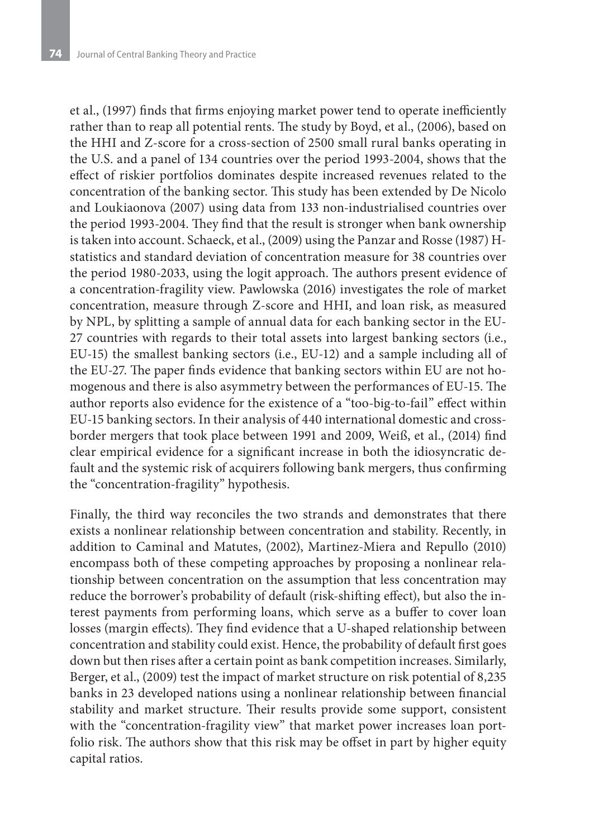et al., (1997) finds that firms enjoying market power tend to operate inefficiently rather than to reap all potential rents. The study by Boyd, et al., (2006), based on the HHI and Z-score for a cross-section of 2500 small rural banks operating in the U.S. and a panel of 134 countries over the period 1993-2004, shows that the effect of riskier portfolios dominates despite increased revenues related to the concentration of the banking sector. This study has been extended by De Nicolo and Loukiaonova (2007) using data from 133 non-industrialised countries over the period 1993-2004. They find that the result is stronger when bank ownership is taken into account. Schaeck, et al., (2009) using the Panzar and Rosse (1987) Hstatistics and standard deviation of concentration measure for 38 countries over the period 1980-2033, using the logit approach. The authors present evidence of a concentration-fragility view. Pawlowska (2016) investigates the role of market concentration, measure through Z-score and HHI, and loan risk, as measured by NPL, by splitting a sample of annual data for each banking sector in the EU-27 countries with regards to their total assets into largest banking sectors (i.e., EU-15) the smallest banking sectors (i.e., EU-12) and a sample including all of the EU-27. The paper finds evidence that banking sectors within EU are not homogenous and there is also asymmetry between the performances of EU-15. The author reports also evidence for the existence of a "too-big-to-fail" effect within EU-15 banking sectors. In their analysis of 440 international domestic and crossborder mergers that took place between 1991 and 2009, Weiß, et al., (2014) find clear empirical evidence for a significant increase in both the idiosyncratic default and the systemic risk of acquirers following bank mergers, thus confirming the "concentration-fragility" hypothesis.

Finally, the third way reconciles the two strands and demonstrates that there exists a nonlinear relationship between concentration and stability. Recently, in addition to Caminal and Matutes, (2002), Martinez-Miera and Repullo (2010) encompass both of these competing approaches by proposing a nonlinear relationship between concentration on the assumption that less concentration may reduce the borrower's probability of default (risk-shifting effect), but also the interest payments from performing loans, which serve as a buffer to cover loan losses (margin effects). They find evidence that a U-shaped relationship between concentration and stability could exist. Hence, the probability of default first goes down but then rises after a certain point as bank competition increases. Similarly, Berger, et al., (2009) test the impact of market structure on risk potential of 8,235 banks in 23 developed nations using a nonlinear relationship between financial stability and market structure. Their results provide some support, consistent with the "concentration-fragility view" that market power increases loan portfolio risk. The authors show that this risk may be offset in part by higher equity capital ratios.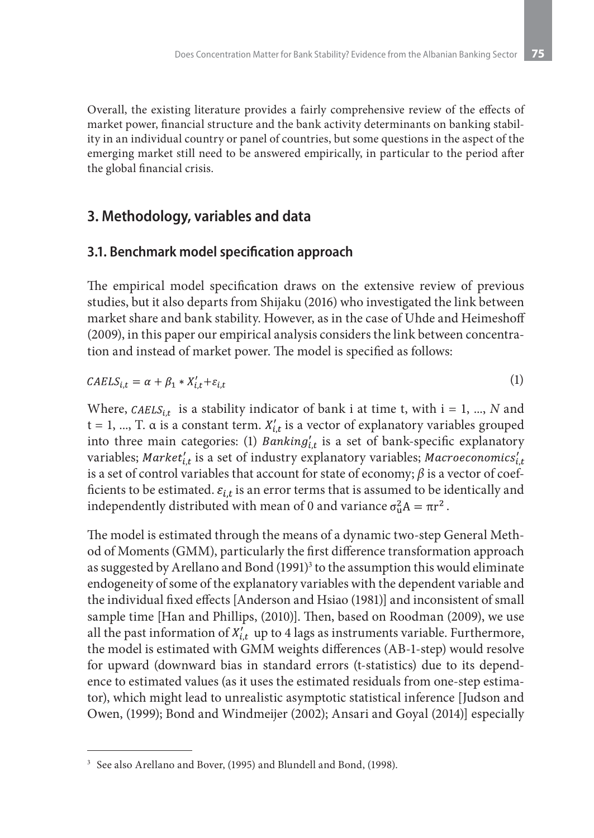Overall, the existing literature provides a fairly comprehensive review of the effects of market power, financial structure and the bank activity determinants on banking stability in an individual country or panel of countries, but some questions in the aspect of the emerging market still need to be answered empirically, in particular to the period after the global financial crisis.

# **3. Methodology, variables and data**

### **3.1. Benchmark model specification approach**

The empirical model specification draws on the extensive review of previous studies, but it also departs from Shijaku (2016) who investigated the link between market share and bank stability. However, as in the case of Uhde and Heimeshoff (2009), in this paper our empirical analysis considers the link between concentration and instead of market power. The model is specified as follows:

$$
CAELS_{i,t} = \alpha + \beta_1 * X'_{i,t} + \varepsilon_{i,t} \tag{1}
$$

Where, *CAELS<sub>i,t</sub>* is a stability indicator of bank i at time t, with  $i = 1, ..., N$  and t = 1, ..., T.  $\alpha$  is a constant term.  $X'_{i,t}$  is a vector of explanatory variables grouped into three main categories: (1) *Banking*<sup> $i$ </sup><sub>*it*</sub> is a set of bank-specific explanatory variables; Market $l_{i,t}$  is a set of industry explanatory variables; Macroeconomics $l_{i,t}$ is a set of control variables that account for state of economy; *β* is a vector of coefficients to be estimated.  $\varepsilon_{i,t}$  is an error terms that is assumed to be identically and independently distributed with mean of 0 and variance  $\sigma_u^2 A = \pi r^2$ .

The model is estimated through the means of a dynamic two-step General Method of Moments (GMM), particularly the first difference transformation approach as suggested by Arellano and Bond (1991)<sup>3</sup> to the assumption this would eliminate endogeneity of some of the explanatory variables with the dependent variable and the individual fixed effects [Anderson and Hsiao (1981)] and inconsistent of small sample time [Han and Phillips, (2010)]. Then, based on Roodman (2009), we use all the past information of  $X'_{i,t}$  up to 4 lags as instruments variable. Furthermore, the model is estimated with GMM weights differences (AB-1-step) would resolve for upward (downward bias in standard errors (t-statistics) due to its dependence to estimated values (as it uses the estimated residuals from one-step estimator), which might lead to unrealistic asymptotic statistical inference [Judson and Owen, (1999); Bond and Windmeijer (2002); Ansari and Goyal (2014)] especially

<sup>3</sup> See also Arellano and Bover, (1995) and Blundell and Bond, (1998).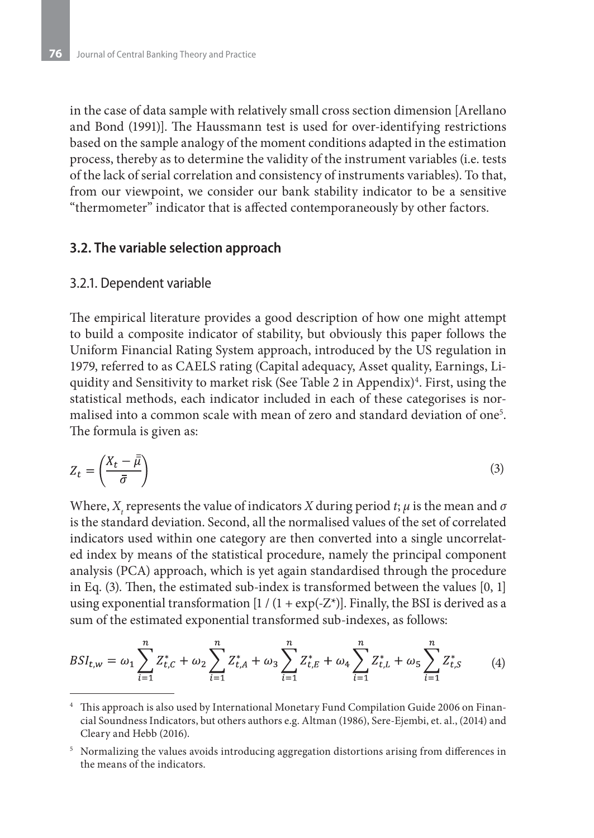in the case of data sample with relatively small cross section dimension [Arellano and Bond (1991)]. The Haussmann test is used for over-identifying restrictions based on the sample analogy of the moment conditions adapted in the estimation process, thereby as to determine the validity of the instrument variables (i.e. tests of the lack of serial correlation and consistency of instruments variables). To that, from our viewpoint, we consider our bank stability indicator to be a sensitive "thermometer" indicator that is affected contemporaneously by other factors.

#### **3.2. The variable selection approach**

#### 3.2.1. Dependent variable

The empirical literature provides a good description of how one might attempt to build a composite indicator of stability, but obviously this paper follows the Uniform Financial Rating System approach, introduced by the US regulation in 1979, referred to as CAELS rating (Capital adequacy, Asset quality, Earnings, Liquidity and Sensitivity to market risk (See Table 2 in Appendix)<sup>4</sup>. First, using the statistical methods, each indicator included in each of these categorises is normalised into a common scale with mean of zero and standard deviation of one<sup>5</sup>. The formula is given as:

$$
Z_t = \left(\frac{X_t - \bar{\mu}}{\bar{\sigma}}\right) \tag{3}
$$

Where,  $X_t$  represents the value of indicators  $X$  during period *t*;  $\mu$  is the mean and  $\sigma$ is the standard deviation. Second, all the normalised values of the set of correlated indicators used within one category are then converted into a single uncorrelated index by means of the statistical procedure, namely the principal component analysis (PCA) approach, which is yet again standardised through the procedure in Eq.  $(3)$ . Then, the estimated sub-index is transformed between the values  $[0, 1]$ using exponential transformation  $[1/(1 + \exp(-Z^*))$ . Finally, the BSI is derived as a sum of the estimated exponential transformed sub-indexes, as follows:

$$
BSI_{t,w} = \omega_1 \sum_{i=1}^n Z_{t,C}^* + \omega_2 \sum_{i=1}^n Z_{t,A}^* + \omega_3 \sum_{i=1}^n Z_{t,E}^* + \omega_4 \sum_{i=1}^n Z_{t,L}^* + \omega_5 \sum_{i=1}^n Z_{t,S}^* \tag{4}
$$

<sup>4</sup> This approach is also used by International Monetary Fund Compilation Guide 2006 on Financial Soundness Indicators, but others authors e.g. Altman (1986), Sere-Ejembi, et. al., (2014) and Cleary and Hebb (2016).

<sup>&</sup>lt;sup>5</sup> Normalizing the values avoids introducing aggregation distortions arising from differences in the means of the indicators.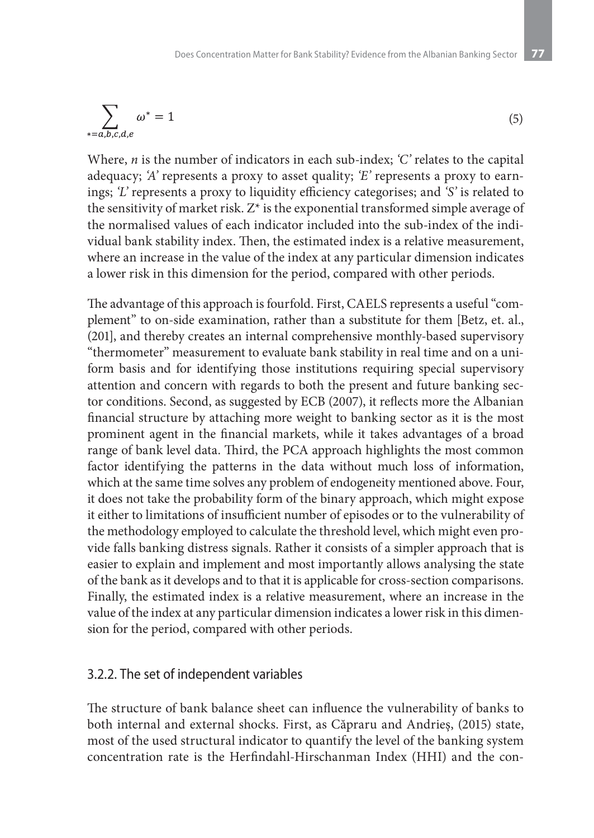$$
\sum_{* = a,b,c,d,e} \omega^* = 1 \tag{5}
$$

Where, *n* is the number of indicators in each sub-index; *'C'* relates to the capital adequacy; *'A'* represents a proxy to asset quality; *'E'* represents a proxy to earnings; *'L'* represents a proxy to liquidity efficiency categorises; and *'S'* is related to the sensitivity of market risk.  $Z^*$  is the exponential transformed simple average of the normalised values of each indicator included into the sub-index of the individual bank stability index. Then, the estimated index is a relative measurement, where an increase in the value of the index at any particular dimension indicates a lower risk in this dimension for the period, compared with other periods.

The advantage of this approach is fourfold. First, CAELS represents a useful "complement" to on-side examination, rather than a substitute for them [Betz, et. al., (201], and thereby creates an internal comprehensive monthly-based supervisory "thermometer" measurement to evaluate bank stability in real time and on a uniform basis and for identifying those institutions requiring special supervisory attention and concern with regards to both the present and future banking sector conditions. Second, as suggested by ECB (2007), it reflects more the Albanian financial structure by attaching more weight to banking sector as it is the most prominent agent in the financial markets, while it takes advantages of a broad range of bank level data. Third, the PCA approach highlights the most common factor identifying the patterns in the data without much loss of information, which at the same time solves any problem of endogeneity mentioned above. Four, it does not take the probability form of the binary approach, which might expose it either to limitations of insufficient number of episodes or to the vulnerability of the methodology employed to calculate the threshold level, which might even provide falls banking distress signals. Rather it consists of a simpler approach that is easier to explain and implement and most importantly allows analysing the state of the bank as it develops and to that it is applicable for cross-section comparisons. Finally, the estimated index is a relative measurement, where an increase in the value of the index at any particular dimension indicates a lower risk in this dimension for the period, compared with other periods.

#### 3.2.2. The set of independent variables

The structure of bank balance sheet can influence the vulnerability of banks to both internal and external shocks. First, as Căpraru and Andrieş, (2015) state, most of the used structural indicator to quantify the level of the banking system concentration rate is the Herfindahl-Hirschanman Index (HHI) and the con-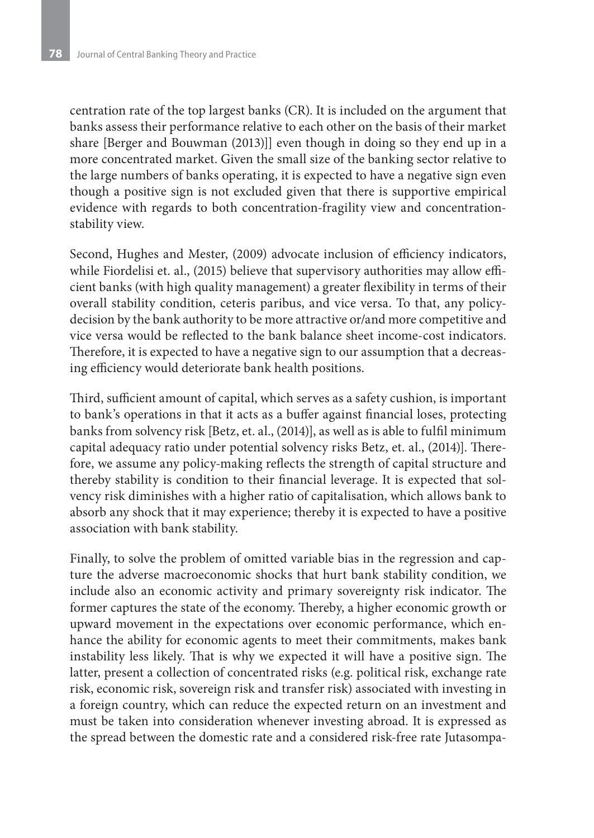centration rate of the top largest banks (CR). It is included on the argument that banks assess their performance relative to each other on the basis of their market share [Berger and Bouwman (2013)]] even though in doing so they end up in a more concentrated market. Given the small size of the banking sector relative to the large numbers of banks operating, it is expected to have a negative sign even though a positive sign is not excluded given that there is supportive empirical evidence with regards to both concentration-fragility view and concentrationstability view.

Second, Hughes and Mester, (2009) advocate inclusion of efficiency indicators, while Fiordelisi et. al., (2015) believe that supervisory authorities may allow efficient banks (with high quality management) a greater flexibility in terms of their overall stability condition, ceteris paribus, and vice versa. To that, any policydecision by the bank authority to be more attractive or/and more competitive and vice versa would be reflected to the bank balance sheet income-cost indicators. Therefore, it is expected to have a negative sign to our assumption that a decreasing efficiency would deteriorate bank health positions.

Third, sufficient amount of capital, which serves as a safety cushion, is important to bank's operations in that it acts as a buffer against financial loses, protecting banks from solvency risk [Betz, et. al., (2014)], as well as is able to fulfil minimum capital adequacy ratio under potential solvency risks Betz, et. al., (2014)]. Therefore, we assume any policy-making reflects the strength of capital structure and thereby stability is condition to their financial leverage. It is expected that solvency risk diminishes with a higher ratio of capitalisation, which allows bank to absorb any shock that it may experience; thereby it is expected to have a positive association with bank stability.

Finally, to solve the problem of omitted variable bias in the regression and capture the adverse macroeconomic shocks that hurt bank stability condition, we include also an economic activity and primary sovereignty risk indicator. The former captures the state of the economy. Thereby, a higher economic growth or upward movement in the expectations over economic performance, which enhance the ability for economic agents to meet their commitments, makes bank instability less likely. That is why we expected it will have a positive sign. The latter, present a collection of concentrated risks (e.g. political risk, exchange rate risk, economic risk, sovereign risk and transfer risk) associated with investing in a foreign country, which can reduce the expected return on an investment and must be taken into consideration whenever investing abroad. It is expressed as the spread between the domestic rate and a considered risk-free rate Jutasompa-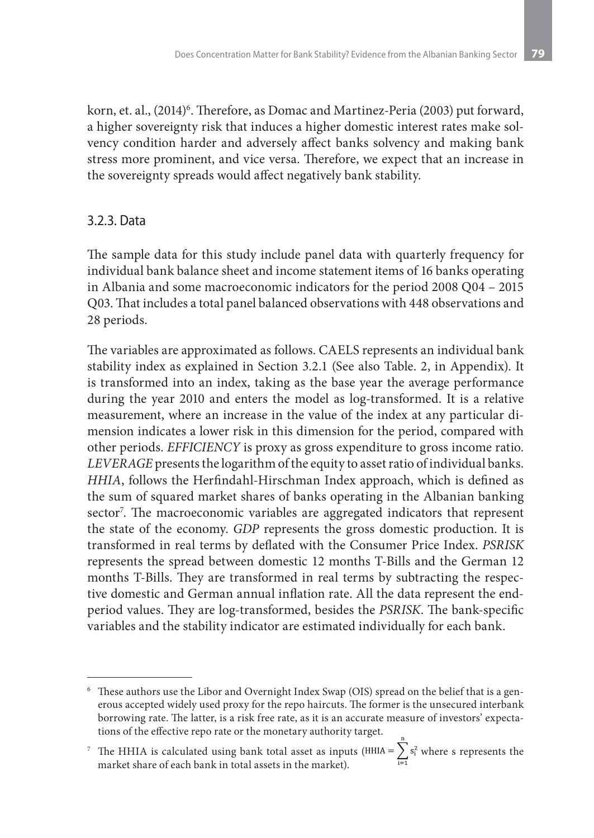korn, et. al., (2014)<sup>6</sup>. Therefore, as Domac and Martinez-Peria (2003) put forward, a higher sovereignty risk that induces a higher domestic interest rates make solvency condition harder and adversely affect banks solvency and making bank stress more prominent, and vice versa. Therefore, we expect that an increase in the sovereignty spreads would affect negatively bank stability.

# 3.2.3. Data

The sample data for this study include panel data with quarterly frequency for individual bank balance sheet and income statement items of 16 banks operating in Albania and some macroeconomic indicators for the period 2008 Q04 – 2015 Q03. That includes a total panel balanced observations with 448 observations and 28 periods.

The variables are approximated as follows. CAELS represents an individual bank stability index as explained in Section 3.2.1 (See also Table. 2, in Appendix). It is transformed into an index, taking as the base year the average performance during the year 2010 and enters the model as log-transformed. It is a relative measurement, where an increase in the value of the index at any particular dimension indicates a lower risk in this dimension for the period, compared with other periods. *EFFICIENCY* is proxy as gross expenditure to gross income ratio. *LEVERAGE* presents the logarithm of the equity to asset ratio of individual banks. *HHIA*, follows the Herfindahl-Hirschman Index approach, which is defined as the sum of squared market shares of banks operating in the Albanian banking sector<sup>7</sup>. The macroeconomic variables are aggregated indicators that represent the state of the economy. *GDP* represents the gross domestic production. It is transformed in real terms by deflated with the Consumer Price Index. *PSRISK* represents the spread between domestic 12 months T-Bills and the German 12 months T-Bills. They are transformed in real terms by subtracting the respective domestic and German annual inflation rate. All the data represent the endperiod values. They are log-transformed, besides the *PSRISK*. The bank-specific variables and the stability indicator are estimated individually for each bank.

<sup>6</sup> These authors use the Libor and Overnight Index Swap (OIS) spread on the belief that is a generous accepted widely used proxy for the repo haircuts. The former is the unsecured interbank borrowing rate. The latter, is a risk free rate, as it is an accurate measure of investors' expectations of the effective repo rate or the monetary authority target.

The HHIA is calculated using bank total asset as inputs ( $H H I A = \sum s_i^2$  where s represents the market share of each bank in total assets in the market).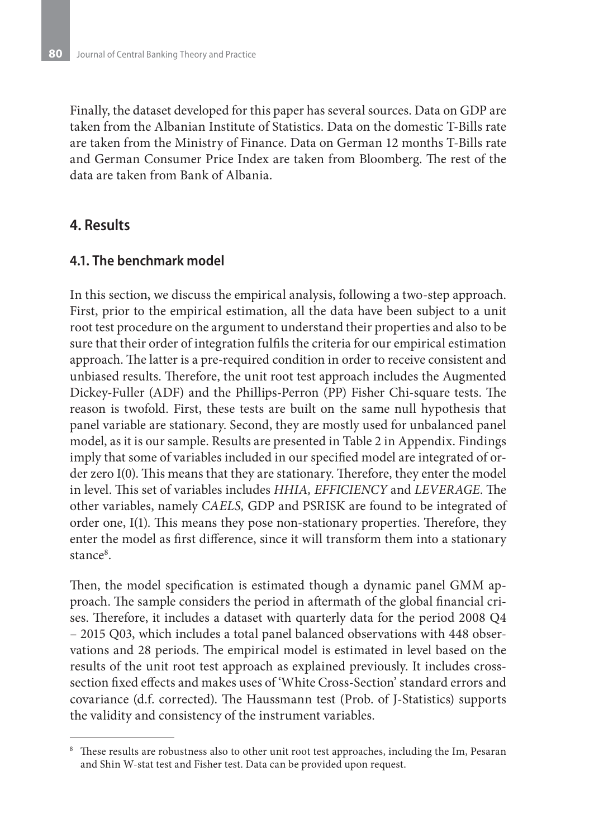Finally, the dataset developed for this paper has several sources. Data on GDP are taken from the Albanian Institute of Statistics. Data on the domestic T-Bills rate are taken from the Ministry of Finance. Data on German 12 months T-Bills rate and German Consumer Price Index are taken from Bloomberg. The rest of the data are taken from Bank of Albania.

# **4. Results**

# **4.1. The benchmark model**

In this section, we discuss the empirical analysis, following a two-step approach. First, prior to the empirical estimation, all the data have been subject to a unit root test procedure on the argument to understand their properties and also to be sure that their order of integration fulfils the criteria for our empirical estimation approach. The latter is a pre-required condition in order to receive consistent and unbiased results. Therefore, the unit root test approach includes the Augmented Dickey-Fuller (ADF) and the Phillips-Perron (PP) Fisher Chi-square tests. The reason is twofold. First, these tests are built on the same null hypothesis that panel variable are stationary. Second, they are mostly used for unbalanced panel model, as it is our sample. Results are presented in Table 2 in Appendix. Findings imply that some of variables included in our specified model are integrated of order zero I(0). This means that they are stationary. Therefore, they enter the model in level. This set of variables includes *HHIA, EFFICIENCY* and *LEVERAGE*. The other variables, namely *CAELS,* GDP and PSRISK are found to be integrated of order one, I(1). This means they pose non-stationary properties. Therefore, they enter the model as first difference, since it will transform them into a stationary stance<sup>8</sup>.

Then, the model specification is estimated though a dynamic panel GMM approach. The sample considers the period in aftermath of the global financial crises. Therefore, it includes a dataset with quarterly data for the period 2008 Q4 – 2015 Q03, which includes a total panel balanced observations with 448 observations and 28 periods. The empirical model is estimated in level based on the results of the unit root test approach as explained previously. It includes crosssection fixed effects and makes uses of 'White Cross-Section' standard errors and covariance (d.f. corrected). The Haussmann test (Prob. of J-Statistics) supports the validity and consistency of the instrument variables.

<sup>&</sup>lt;sup>8</sup> These results are robustness also to other unit root test approaches, including the Im, Pesaran and Shin W-stat test and Fisher test. Data can be provided upon request.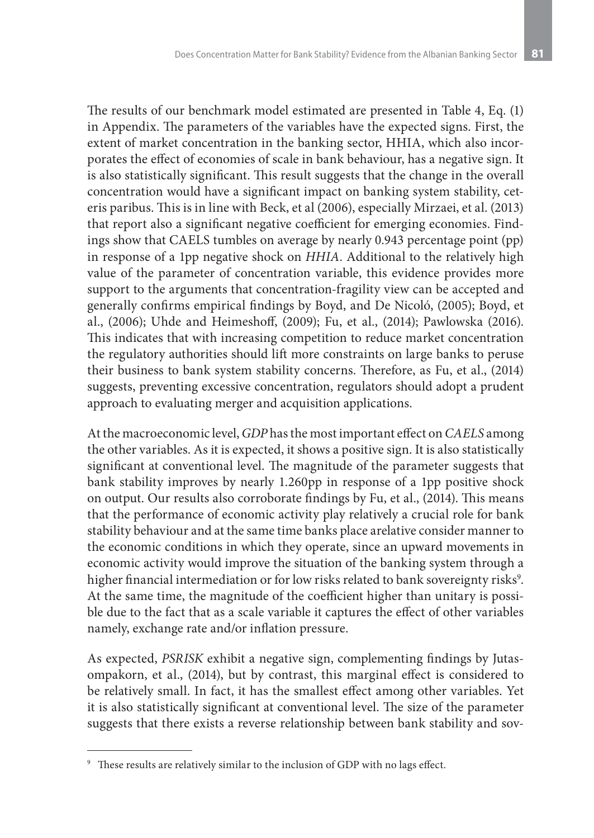The results of our benchmark model estimated are presented in Table 4, Eq. (1) in Appendix. The parameters of the variables have the expected signs. First, the extent of market concentration in the banking sector, HHIA, which also incorporates the effect of economies of scale in bank behaviour, has a negative sign. It is also statistically significant. This result suggests that the change in the overall concentration would have a significant impact on banking system stability, ceteris paribus. This is in line with Beck, et al (2006), especially Mirzaei, et al. (2013) that report also a significant negative coefficient for emerging economies. Findings show that CAELS tumbles on average by nearly 0.943 percentage point (pp) in response of a 1pp negative shock on *HHIA*. Additional to the relatively high value of the parameter of concentration variable, this evidence provides more support to the arguments that concentration-fragility view can be accepted and generally confirms empirical findings by Boyd, and De Nicoló, (2005); Boyd, et al., (2006); Uhde and Heimeshoff, (2009); Fu, et al., (2014); Pawlowska (2016). This indicates that with increasing competition to reduce market concentration the regulatory authorities should lift more constraints on large banks to peruse their business to bank system stability concerns. Therefore, as Fu, et al., (2014) suggests, preventing excessive concentration, regulators should adopt a prudent approach to evaluating merger and acquisition applications.

At the macroeconomic level, *GDP* has the most important effect on *CAELS* among the other variables. As it is expected, it shows a positive sign. It is also statistically significant at conventional level. The magnitude of the parameter suggests that bank stability improves by nearly 1.260pp in response of a 1pp positive shock on output. Our results also corroborate findings by Fu, et al., (2014). This means that the performance of economic activity play relatively a crucial role for bank stability behaviour and at the same time banks place arelative consider manner to the economic conditions in which they operate, since an upward movements in economic activity would improve the situation of the banking system through a higher financial intermediation or for low risks related to bank sovereignty risks<sup>9</sup>. At the same time, the magnitude of the coefficient higher than unitary is possible due to the fact that as a scale variable it captures the effect of other variables namely, exchange rate and/or inflation pressure.

As expected, *PSRISK* exhibit a negative sign, complementing findings by Jutasompakorn, et al., (2014), but by contrast, this marginal effect is considered to be relatively small. In fact, it has the smallest effect among other variables. Yet it is also statistically significant at conventional level. The size of the parameter suggests that there exists a reverse relationship between bank stability and sov-

<sup>9</sup> These results are relatively similar to the inclusion of GDP with no lags effect.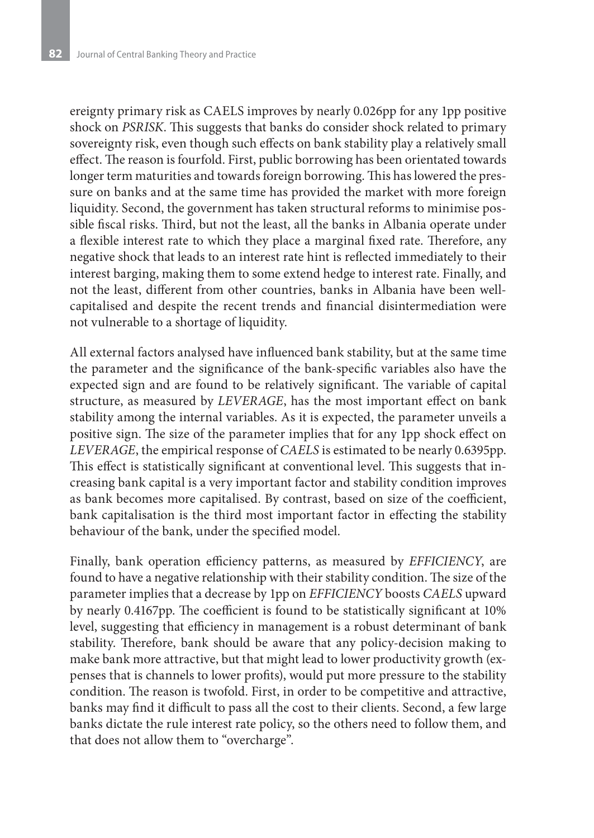ereignty primary risk as CAELS improves by nearly 0.026pp for any 1pp positive shock on *PSRISK*. This suggests that banks do consider shock related to primary sovereignty risk, even though such effects on bank stability play a relatively small effect. The reason is fourfold. First, public borrowing has been orientated towards longer term maturities and towards foreign borrowing. This has lowered the pressure on banks and at the same time has provided the market with more foreign liquidity. Second, the government has taken structural reforms to minimise possible fiscal risks. Third, but not the least, all the banks in Albania operate under a flexible interest rate to which they place a marginal fixed rate. Therefore, any negative shock that leads to an interest rate hint is reflected immediately to their interest barging, making them to some extend hedge to interest rate. Finally, and not the least, different from other countries, banks in Albania have been wellcapitalised and despite the recent trends and financial disintermediation were not vulnerable to a shortage of liquidity.

All external factors analysed have influenced bank stability, but at the same time the parameter and the significance of the bank-specific variables also have the expected sign and are found to be relatively significant. The variable of capital structure, as measured by *LEVERAGE*, has the most important effect on bank stability among the internal variables. As it is expected, the parameter unveils a positive sign. The size of the parameter implies that for any 1pp shock effect on *LEVERAGE*, the empirical response of *CAELS* is estimated to be nearly 0.6395pp. This effect is statistically significant at conventional level. This suggests that increasing bank capital is a very important factor and stability condition improves as bank becomes more capitalised. By contrast, based on size of the coefficient, bank capitalisation is the third most important factor in effecting the stability behaviour of the bank, under the specified model.

Finally, bank operation efficiency patterns, as measured by *EFFICIENCY*, are found to have a negative relationship with their stability condition. The size of the parameter implies that a decrease by 1pp on *EFFICIENCY* boosts *CAELS* upward by nearly 0.4167pp. The coefficient is found to be statistically significant at 10% level, suggesting that efficiency in management is a robust determinant of bank stability. Therefore, bank should be aware that any policy-decision making to make bank more attractive, but that might lead to lower productivity growth (expenses that is channels to lower profits), would put more pressure to the stability condition. The reason is twofold. First, in order to be competitive and attractive, banks may find it difficult to pass all the cost to their clients. Second, a few large banks dictate the rule interest rate policy, so the others need to follow them, and that does not allow them to "overcharge".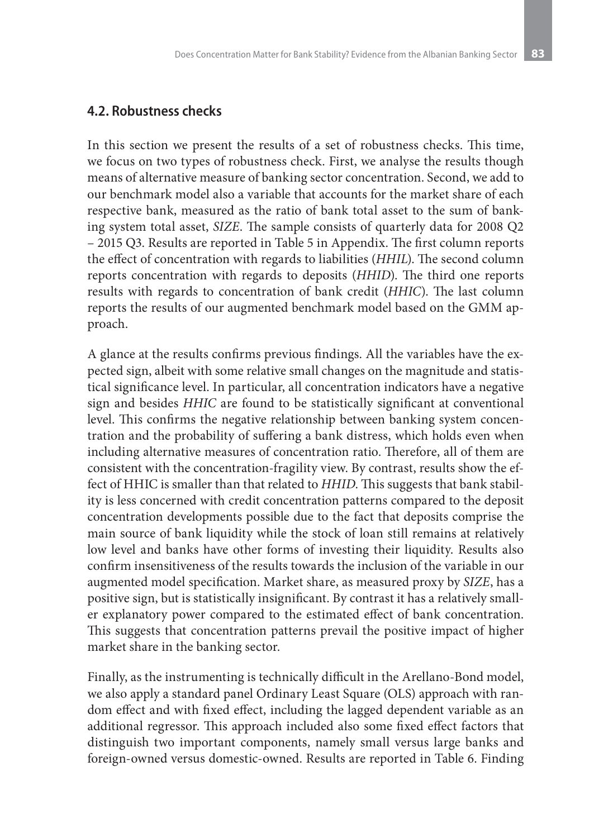#### **4.2. Robustness checks**

In this section we present the results of a set of robustness checks. This time, we focus on two types of robustness check. First, we analyse the results though means of alternative measure of banking sector concentration. Second, we add to our benchmark model also a variable that accounts for the market share of each respective bank, measured as the ratio of bank total asset to the sum of banking system total asset, *SIZE*. The sample consists of quarterly data for 2008 Q2 – 2015 Q3. Results are reported in Table 5 in Appendix. The first column reports the effect of concentration with regards to liabilities (*HHIL*). The second column reports concentration with regards to deposits (*HHID*). The third one reports results with regards to concentration of bank credit (*HHIC*). The last column reports the results of our augmented benchmark model based on the GMM approach.

A glance at the results confirms previous findings. All the variables have the expected sign, albeit with some relative small changes on the magnitude and statistical significance level. In particular, all concentration indicators have a negative sign and besides *HHIC* are found to be statistically significant at conventional level. This confirms the negative relationship between banking system concentration and the probability of suffering a bank distress, which holds even when including alternative measures of concentration ratio. Therefore, all of them are consistent with the concentration-fragility view. By contrast, results show the effect of HHIC is smaller than that related to *HHID*. This suggests that bank stability is less concerned with credit concentration patterns compared to the deposit concentration developments possible due to the fact that deposits comprise the main source of bank liquidity while the stock of loan still remains at relatively low level and banks have other forms of investing their liquidity. Results also confirm insensitiveness of the results towards the inclusion of the variable in our augmented model specification. Market share, as measured proxy by *SIZE*, has a positive sign, but is statistically insignificant. By contrast it has a relatively smaller explanatory power compared to the estimated effect of bank concentration. This suggests that concentration patterns prevail the positive impact of higher market share in the banking sector.

Finally, as the instrumenting is technically difficult in the Arellano-Bond model, we also apply a standard panel Ordinary Least Square (OLS) approach with random effect and with fixed effect, including the lagged dependent variable as an additional regressor. This approach included also some fixed effect factors that distinguish two important components, namely small versus large banks and foreign-owned versus domestic-owned. Results are reported in Table 6. Finding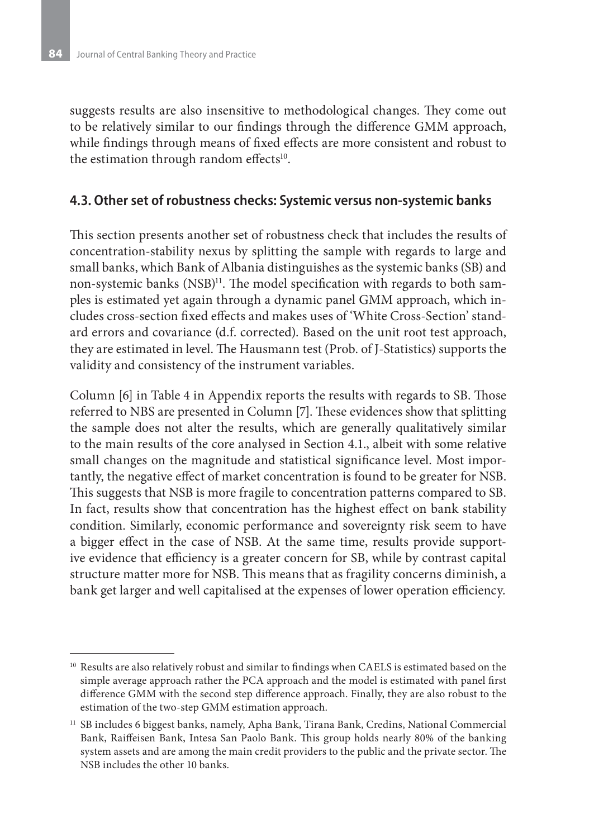suggests results are also insensitive to methodological changes. They come out to be relatively similar to our findings through the difference GMM approach, while findings through means of fixed effects are more consistent and robust to the estimation through random effects<sup>10</sup>.

### **4.3. Other set of robustness checks: Systemic versus non-systemic banks**

This section presents another set of robustness check that includes the results of concentration-stability nexus by splitting the sample with regards to large and small banks, which Bank of Albania distinguishes as the systemic banks (SB) and non-systemic banks (NSB)<sup>11</sup>. The model specification with regards to both samples is estimated yet again through a dynamic panel GMM approach, which includes cross-section fixed effects and makes uses of 'White Cross-Section' standard errors and covariance (d.f. corrected). Based on the unit root test approach, they are estimated in level. The Hausmann test (Prob. of J-Statistics) supports the validity and consistency of the instrument variables.

Column [6] in Table 4 in Appendix reports the results with regards to SB. Those referred to NBS are presented in Column [7]. These evidences show that splitting the sample does not alter the results, which are generally qualitatively similar to the main results of the core analysed in Section 4.1., albeit with some relative small changes on the magnitude and statistical significance level. Most importantly, the negative effect of market concentration is found to be greater for NSB. This suggests that NSB is more fragile to concentration patterns compared to SB. In fact, results show that concentration has the highest effect on bank stability condition. Similarly, economic performance and sovereignty risk seem to have a bigger effect in the case of NSB. At the same time, results provide supportive evidence that efficiency is a greater concern for SB, while by contrast capital structure matter more for NSB. This means that as fragility concerns diminish, a bank get larger and well capitalised at the expenses of lower operation efficiency.

<sup>&</sup>lt;sup>10</sup> Results are also relatively robust and similar to findings when CAELS is estimated based on the simple average approach rather the PCA approach and the model is estimated with panel first difference GMM with the second step difference approach. Finally, they are also robust to the estimation of the two-step GMM estimation approach.

<sup>&</sup>lt;sup>11</sup> SB includes 6 biggest banks, namely, Apha Bank, Tirana Bank, Credins, National Commercial Bank, Raiffeisen Bank, Intesa San Paolo Bank. This group holds nearly 80% of the banking system assets and are among the main credit providers to the public and the private sector. The NSB includes the other 10 banks.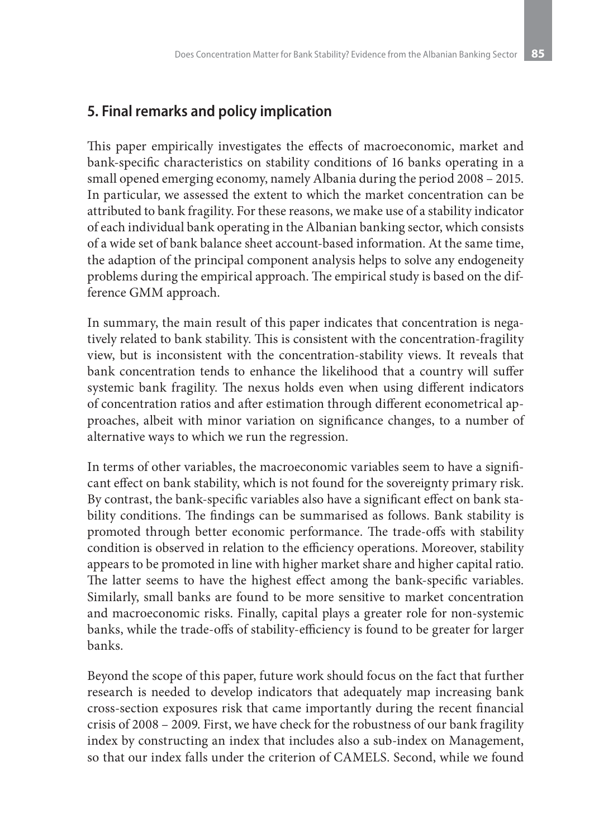# **5. Final remarks and policy implication**

This paper empirically investigates the effects of macroeconomic, market and bank-specific characteristics on stability conditions of 16 banks operating in a small opened emerging economy, namely Albania during the period 2008 – 2015. In particular, we assessed the extent to which the market concentration can be attributed to bank fragility. For these reasons, we make use of a stability indicator of each individual bank operating in the Albanian banking sector, which consists of a wide set of bank balance sheet account-based information. At the same time, the adaption of the principal component analysis helps to solve any endogeneity problems during the empirical approach. The empirical study is based on the difference GMM approach.

In summary, the main result of this paper indicates that concentration is negatively related to bank stability. This is consistent with the concentration-fragility view, but is inconsistent with the concentration-stability views. It reveals that bank concentration tends to enhance the likelihood that a country will suffer systemic bank fragility. The nexus holds even when using different indicators of concentration ratios and after estimation through different econometrical approaches, albeit with minor variation on significance changes, to a number of alternative ways to which we run the regression.

In terms of other variables, the macroeconomic variables seem to have a significant effect on bank stability, which is not found for the sovereignty primary risk. By contrast, the bank-specific variables also have a significant effect on bank stability conditions. The findings can be summarised as follows. Bank stability is promoted through better economic performance. The trade-offs with stability condition is observed in relation to the efficiency operations. Moreover, stability appears to be promoted in line with higher market share and higher capital ratio. The latter seems to have the highest effect among the bank-specific variables. Similarly, small banks are found to be more sensitive to market concentration and macroeconomic risks. Finally, capital plays a greater role for non-systemic banks, while the trade-offs of stability-efficiency is found to be greater for larger banks.

Beyond the scope of this paper, future work should focus on the fact that further research is needed to develop indicators that adequately map increasing bank cross-section exposures risk that came importantly during the recent financial crisis of 2008 – 2009. First, we have check for the robustness of our bank fragility index by constructing an index that includes also a sub-index on Management, so that our index falls under the criterion of CAMELS. Second, while we found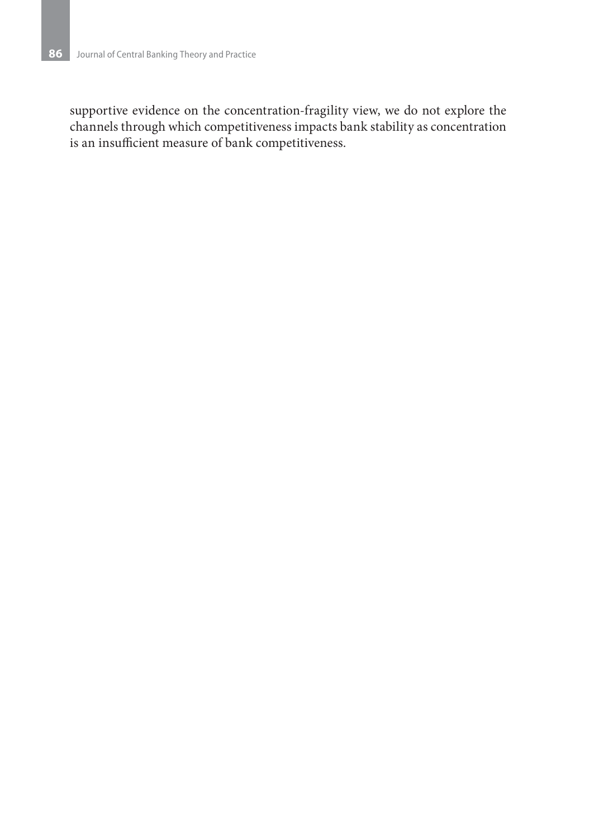supportive evidence on the concentration-fragility view, we do not explore the channels through which competitiveness impacts bank stability as concentration is an insufficient measure of bank competitiveness.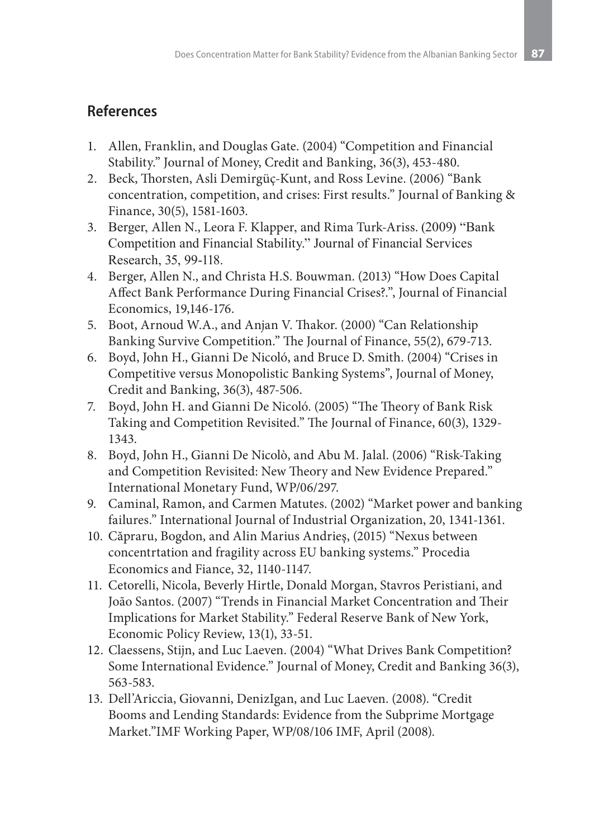# **References**

- 1. Allen, Franklin, and Douglas Gate. (2004) "Competition and Financial Stability." Journal of Money, Credit and Banking, 36(3), 453-480.
- 2. Beck, Thorsten, Asli Demirgüç-Kunt, and Ross Levine. (2006) "Bank concentration, competition, and crises: First results." Journal of Banking & Finance, 30(5), 1581-1603.
- 3. Berger, Allen N., Leora F. Klapper, and Rima Turk-Ariss. (2009) "Bank Competition and Financial Stability." Journal of Financial Services Research, 35, 99-118.
- 4. Berger, Allen N., and Christa H.S. Bouwman. (2013) "How Does Capital Affect Bank Performance During Financial Crises?.", Journal of Financial Economics, 19,146-176.
- 5. Boot, Arnoud W.A., and Anjan V. Thakor. (2000) "Can Relationship Banking Survive Competition." The Journal of Finance, 55(2), 679-713.
- 6. Boyd, John H., Gianni De Nicoló, and Bruce D. Smith. (2004) "Crises in Competitive versus Monopolistic Banking Systems", Journal of Money, Credit and Banking, 36(3), 487-506.
- 7. Boyd, John H. and Gianni De Nicoló. (2005) "The Theory of Bank Risk Taking and Competition Revisited." The Journal of Finance, 60(3), 1329- 1343.
- 8. Boyd, John H., Gianni De Nicolò, and Abu M. Jalal. (2006) "Risk-Taking and Competition Revisited: New Theory and New Evidence Prepared." International Monetary Fund, WP/06/297.
- 9. Caminal, Ramon, and Carmen Matutes. (2002) "Market power and banking failures." International Journal of Industrial Organization, 20, 1341-1361.
- 10. Căpraru, Bogdon, and Alin Marius Andrieş, (2015) "Nexus between concentrtation and fragility across EU banking systems." Procedia Economics and Fiance, 32, 1140-1147.
- 11. Cetorelli, Nicola, Beverly Hirtle, Donald Morgan, Stavros Peristiani, and João Santos. (2007) "Trends in Financial Market Concentration and Their Implications for Market Stability." Federal Reserve Bank of New York, Economic Policy Review, 13(1), 33-51.
- 12. Claessens, Stijn, and Luc Laeven. (2004) "What Drives Bank Competition? Some International Evidence." Journal of Money, Credit and Banking 36(3), 563-583.
- 13. Dell'Ariccia, Giovanni, DenizIgan, and Luc Laeven. (2008). "Credit Booms and Lending Standards: Evidence from the Subprime Mortgage Market."IMF Working Paper, WP/08/106 IMF, April (2008).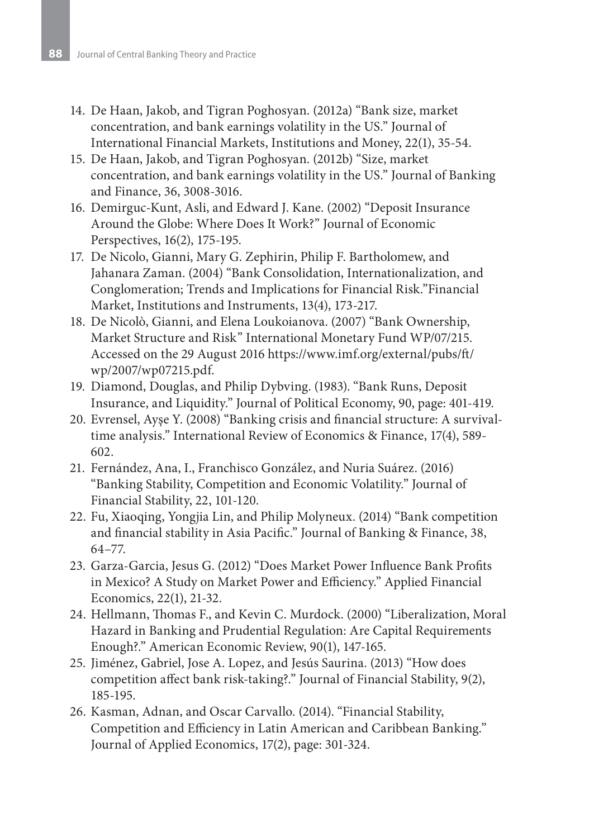- 14. De Haan, Jakob, and Tigran Poghosyan. (2012a) "Bank size, market concentration, and bank earnings volatility in the US." Journal of International Financial Markets, Institutions and Money, 22(1), 35-54.
- 15. De Haan, Jakob, and Tigran Poghosyan. (2012b) "Size, market concentration, and bank earnings volatility in the US." Journal of Banking and Finance, 36, 3008-3016.
- 16. Demirguc-Kunt, Asli, and Edward J. Kane. (2002) "Deposit Insurance Around the Globe: Where Does It Work?" Journal of Economic Perspectives, 16(2), 175-195.
- 17. De Nicolo, Gianni, Mary G. Zephirin, Philip F. Bartholomew, and Jahanara Zaman. (2004) "Bank Consolidation, Internationalization, and Conglomeration; Trends and Implications for Financial Risk."Financial Market, Institutions and Instruments, 13(4), 173-217.
- 18. De Nicolò, Gianni, and Elena Loukoianova. (2007) "Bank Ownership, Market Structure and Risk" International Monetary Fund WP/07/215. Accessed on the 29 August 2016 https://www.imf.org/external/pubs/ft/ wp/2007/wp07215.pdf.
- 19. Diamond, Douglas, and Philip Dybving. (1983). "Bank Runs, Deposit Insurance, and Liquidity." Journal of Political Economy, 90, page: 401-419.
- 20. Evrensel, Ayşe Y. (2008) "Banking crisis and financial structure: A survivaltime analysis." International Review of Economics & Finance, 17(4), 589- 602.
- 21. Fernández, Ana, I., Franchisco González, and Nuria Suárez. (2016) "Banking Stability, Competition and Economic Volatility." Journal of Financial Stability, 22, 101-120.
- 22. Fu, Xiaoqing, Yongjia Lin, and Philip Molyneux. (2014) "Bank competition and financial stability in Asia Pacific." Journal of Banking & Finance, 38, 64–77.
- 23. Garza-Garcia, Jesus G. (2012) "Does Market Power Influence Bank Profits in Mexico? A Study on Market Power and Efficiency." Applied Financial Economics, 22(1), 21-32.
- 24. Hellmann, Thomas F., and Kevin C. Murdock. (2000) "Liberalization, Moral Hazard in Banking and Prudential Regulation: Are Capital Requirements Enough?." American Economic Review, 90(1), 147-165.
- 25. Jiménez, Gabriel, Jose A. Lopez, and Jesús Saurina. (2013) "How does competition affect bank risk-taking?." Journal of Financial Stability, 9(2), 185-195.
- 26. Kasman, Adnan, and Oscar Carvallo. (2014). "Financial Stability, Competition and Efficiency in Latin American and Caribbean Banking." Journal of Applied Economics, 17(2), page: 301-324.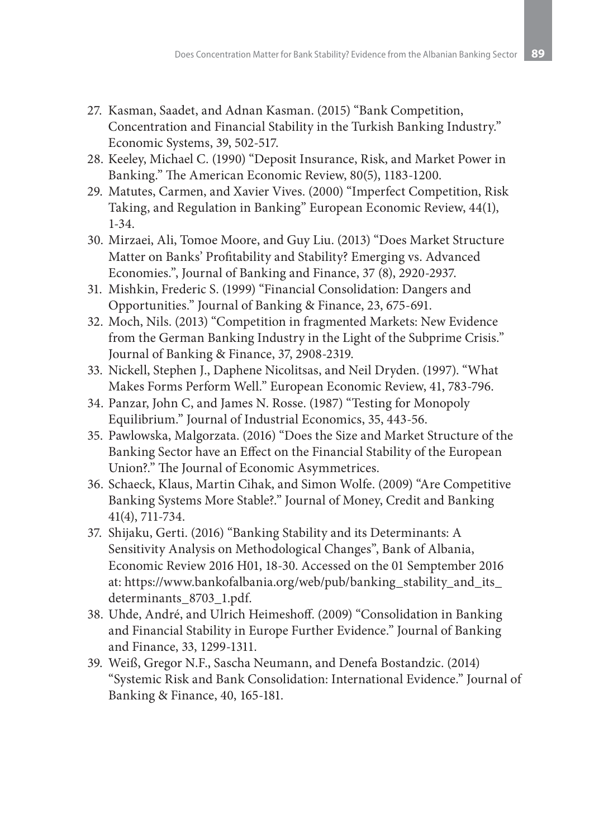- 27. Kasman, Saadet, and Adnan Kasman. (2015) "Bank Competition, Concentration and Financial Stability in the Turkish Banking Industry." Economic Systems, 39, 502-517.
- 28. Keeley, Michael C. (1990) "Deposit Insurance, Risk, and Market Power in Banking." The American Economic Review, 80(5), 1183-1200.
- 29. Matutes, Carmen, and Xavier Vives. (2000) "Imperfect Competition, Risk Taking, and Regulation in Banking" European Economic Review, 44(1), 1-34.
- 30. Mirzaei, Ali, Tomoe Moore, and Guy Liu. (2013) "Does Market Structure Matter on Banks' Profitability and Stability? Emerging vs. Advanced Economies.", Journal of Banking and Finance, 37 (8), 2920-2937.
- 31. Mishkin, Frederic S. (1999) "Financial Consolidation: Dangers and Opportunities." Journal of Banking & Finance, 23, 675-691.
- 32. Moch, Nils. (2013) "Competition in fragmented Markets: New Evidence from the German Banking Industry in the Light of the Subprime Crisis." Journal of Banking & Finance, 37, 2908-2319.
- 33. Nickell, Stephen J., Daphene Nicolitsas, and Neil Dryden. (1997). "What Makes Forms Perform Well." European Economic Review, 41, 783-796.
- 34. Panzar, John C, and James N. Rosse. (1987) "Testing for Monopoly Equilibrium." Journal of Industrial Economics, 35, 443-56.
- 35. Pawlowska, Malgorzata. (2016) "Does the Size and Market Structure of the Banking Sector have an Effect on the Financial Stability of the European Union?." The Journal of Economic Asymmetrices.
- 36. Schaeck, Klaus, Martin Cihak, and Simon Wolfe. (2009) "Are Competitive Banking Systems More Stable?." Journal of Money, Credit and Banking 41(4), 711-734.
- 37. Shijaku, Gerti. (2016) "Banking Stability and its Determinants: A Sensitivity Analysis on Methodological Changes", Bank of Albania, Economic Review 2016 H01, 18-30. Accessed on the 01 Semptember 2016 at: https://www.bankofalbania.org/web/pub/banking\_stability\_and\_its\_ determinants\_8703\_1.pdf.
- 38. Uhde, André, and Ulrich Heimeshoff. (2009) "Consolidation in Banking and Financial Stability in Europe Further Evidence." Journal of Banking and Finance, 33, 1299-1311.
- 39. Weiß, Gregor N.F., Sascha Neumann, and Denefa Bostandzic. (2014) "Systemic Risk and Bank Consolidation: International Evidence." Journal of Banking & Finance, 40, 165-181.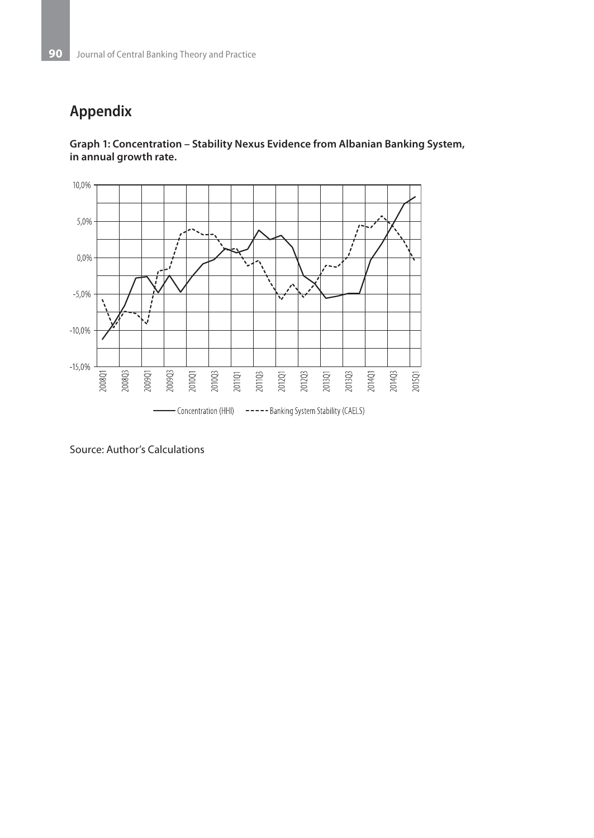# **Appendix**

**Graph 1: Concentration – Stability Nexus Evidence from Albanian Banking System, in annual growth rate.**



Source: Author's Calculations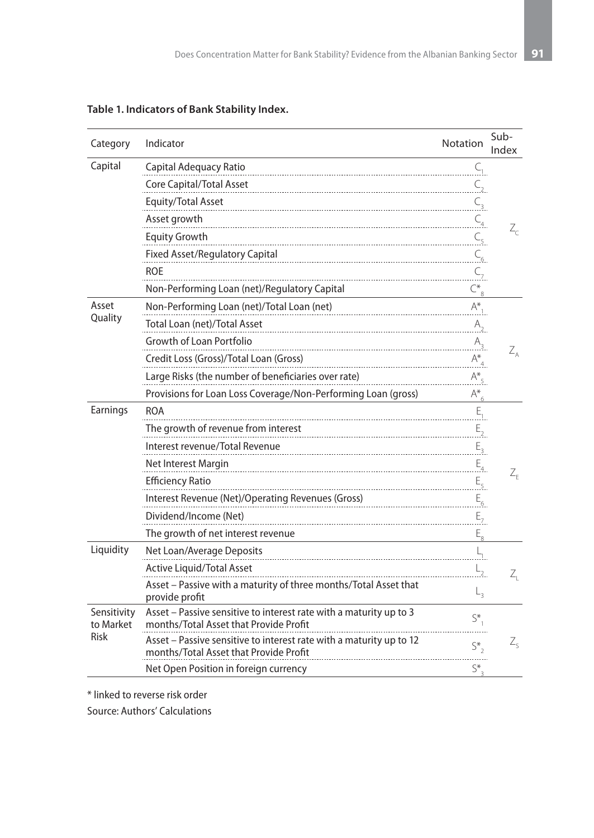| Category                         | Indicator                                                                                                     | <b>Notation</b>                       | Sub-<br>Index                 |
|----------------------------------|---------------------------------------------------------------------------------------------------------------|---------------------------------------|-------------------------------|
| Capital                          | Capital Adequacy Ratio                                                                                        |                                       |                               |
|                                  | Core Capital/Total Asset                                                                                      |                                       |                               |
|                                  | Equity/Total Asset                                                                                            | $\mathsf{C}_{_{\mathsf{3}\mathsf{}}}$ |                               |
|                                  | Asset growth                                                                                                  | $C_{4}$                               |                               |
|                                  | <b>Equity Growth</b>                                                                                          |                                       | $Z_c$                         |
|                                  | Fixed Asset/Regulatory Capital                                                                                |                                       |                               |
|                                  | <b>ROE</b>                                                                                                    |                                       |                               |
|                                  | Non-Performing Loan (net)/Regulatory Capital                                                                  | C*                                    |                               |
| Asset                            | Non-Performing Loan (net)/Total Loan (net)                                                                    | $A^*$ <sub>1.</sub>                   |                               |
| Quality                          | Total Loan (net)/Total Asset                                                                                  | $A_{2}$                               |                               |
|                                  | Growth of Loan Portfolio                                                                                      | $A_{3}$                               |                               |
|                                  | Credit Loss (Gross)/Total Loan (Gross)                                                                        | $A_{4}^*$                             | $Z_{\rm A}$                   |
|                                  | Large Risks (the number of beneficiaries over rate)                                                           | $A^*_{5}$                             |                               |
|                                  | Provisions for Loan Loss Coverage/Non-Performing Loan (gross)                                                 | $A^*_{6}$                             |                               |
| Earnings                         | <b>ROA</b>                                                                                                    | E <sub>1</sub>                        |                               |
|                                  | The growth of revenue from interest                                                                           |                                       |                               |
|                                  | Interest revenue/Total Revenue                                                                                | $E_{3}$                               |                               |
|                                  | Net Interest Margin                                                                                           | $E_{4}$                               |                               |
|                                  | <b>Efficiency Ratio</b>                                                                                       | E <sub>s</sub>                        | $Z_{\rm E}$                   |
|                                  | Interest Revenue (Net)/Operating Revenues (Gross)                                                             | $E_{6}$                               |                               |
|                                  | Dividend/Income (Net)                                                                                         | $E_{7}$                               |                               |
|                                  | The growth of net interest revenue                                                                            | $E_8$                                 |                               |
| Liquidity                        | Net Loan/Average Deposits                                                                                     | 4.                                    |                               |
|                                  | <b>Active Liquid/Total Asset</b>                                                                              | -2.                                   | $Z_{\scriptscriptstyle\perp}$ |
|                                  | Asset - Passive with a maturity of three months/Total Asset that<br>provide profit                            | $\mathsf{L}_3$                        |                               |
| Sensitivity<br>to Market<br>Risk | Asset - Passive sensitive to interest rate with a maturity up to 3<br>months/Total Asset that Provide Profit  | $S_{1}^*$                             |                               |
|                                  | Asset - Passive sensitive to interest rate with a maturity up to 12<br>months/Total Asset that Provide Profit | $S_{2}^*$                             | $Z_{\varsigma}$               |
|                                  | Net Open Position in foreign currency                                                                         | $S^*_{3}$                             |                               |

#### **Table 1. Indicators of Bank Stability Index.**

\* linked to reverse risk order

Source: Authors' Calculations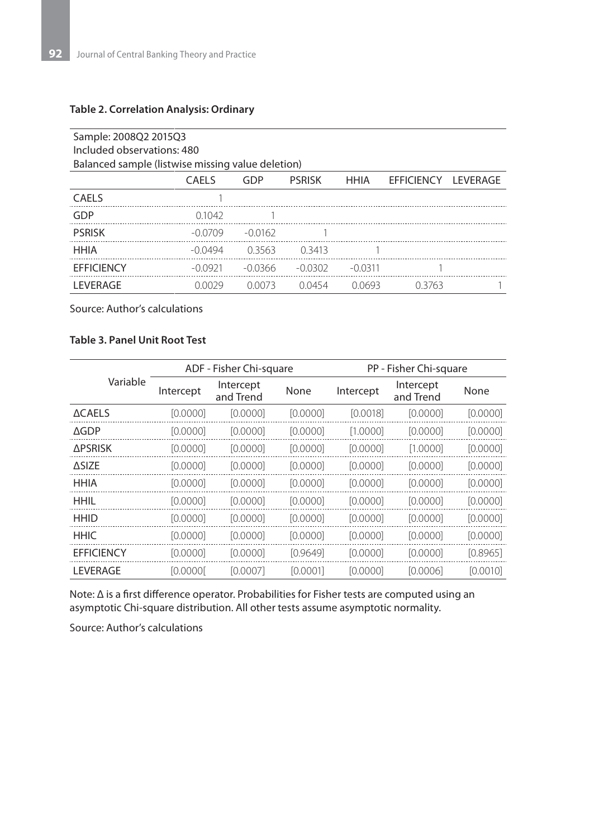#### **Table 2. Correlation Analysis: Ordinary**

#### Sample: 2008Q2 2015Q3 Included observations: 480 Balanced sample (listwise missing value deletion)

|                   | CAFI <sub>S</sub> | GDP       | <b>PSRISK</b> | <b>HHIA</b> | EFFICIENCY LEVERAGE |  |
|-------------------|-------------------|-----------|---------------|-------------|---------------------|--|
| CAELS             |                   |           |               |             |                     |  |
| GDP               | 0.1042            |           |               |             |                     |  |
| <b>PSRISK</b>     | $-0.0709$         | $-0.0162$ |               |             |                     |  |
| <b>HHIA</b>       | $-0.0494$         | 03563     | 0 3 4 1 3     |             |                     |  |
| <b>EFFICIENCY</b> | $-0.0921$         | -0.0366   | $-0.0302$     | $-0.0311$   |                     |  |
| LEVERAGE          | N 0029            | 0.0073    | 0.0454        | 0.0693      | 03763               |  |

#### Source: Author's calculations

#### **Table 3. Panel Unit Root Test**

|                   |                 | ADF - Fisher Chi-square |          | PP - Fisher Chi-square |                        |          |  |
|-------------------|-----------------|-------------------------|----------|------------------------|------------------------|----------|--|
| Variable          | Intercept       | Intercept<br>and Trend  | None     | Intercept              | Intercept<br>and Trend | None     |  |
| <b>ACAELS</b>     | [0.0000]        | [0.0000]                | [0.0000] | [0.0018]               | [0.0000]               | [0.0000] |  |
| $\triangle GDP$   | [0.0000]        | [0.0000]                | [0.0000] | [1.0000]               | [0.0000]               | [0.0000] |  |
| <b>APSRISK</b>    | [0.0000]        | [0.0000]                | [0.0000] | [0.0000]               | [1.0000]               | [0.0000] |  |
| <b>ASIZE</b>      | [0.0000]        | [0.0000]                | [0.0000] | [0.0000]               | [0.0000]               | [0.0000] |  |
| <b>HHIA</b>       | [0.0000]        | [0.0000]                | [0.0000] | [0.0000]               | [0.0000]               | [0.0000] |  |
| <b>HHIL</b>       | [0.0000]        | [0.0000]                | [0.0000] | [0.0000]               | [0.0000]               | [0.0000] |  |
| <b>HHID</b>       | [0.0000]        | [0.0000]                | [0.0000] | [0.0000]               | [0.0000]               | [0.0000] |  |
| <b>HHIC</b>       | [0.0000]        | [0.0000]                | [0.0000] | [0.0000]               | [0.0000]               | [0.0000] |  |
| <b>EFFICIENCY</b> | [0.0000]        | [0.0000]                | [0.9649] | [0.0000]               | [0.0000]               | [0.8965] |  |
| LEVERAGE          | <b>[0.0000]</b> | [0.0007]                | [0.0001] | [0.0000]               | [0.0006]               | [0.0010] |  |

Note: Δ is a first difference operator. Probabilities for Fisher tests are computed using an asymptotic Chi-square distribution. All other tests assume asymptotic normality.

Source: Author's calculations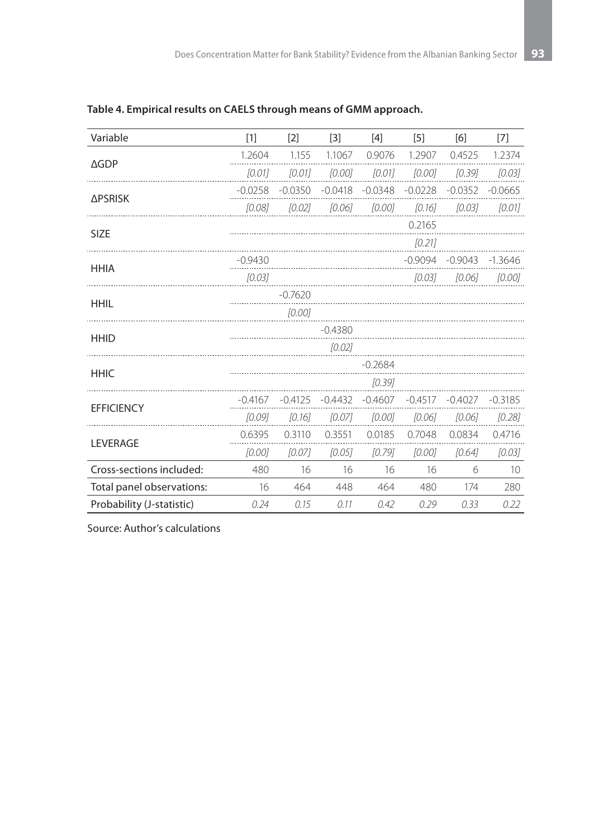| Variable                  | $[1]$     | [2]       | $\lceil 3 \rceil$ | [4]       | [5]       | [6]       | [7]       |
|---------------------------|-----------|-----------|-------------------|-----------|-----------|-----------|-----------|
|                           | 1.2604    | 1.155     | 1.1067            | 0.9076    | 1.2907    | 0.4525    | 1.2374    |
| $\triangle GDP$           | [0.01]    | [0.01]    | [0.00]            | [0.01]    | [0.00]    | [0.39]    | [0.03]    |
|                           | $-0.0258$ | $-0.0350$ | $-0.0418$         | $-0.0348$ | $-0.0228$ | $-0.0352$ | $-0.0665$ |
| <b>APSRISK</b>            | [0.08]    | [0.02]    | [0.06]            | [0.00]    | [0.16]    | [0.03]    | [0.01]    |
|                           |           |           |                   |           | 0.2165    |           |           |
| <b>SIZE</b>               |           |           |                   |           | [0.21]    |           |           |
| <b>HHIA</b>               | $-0.9430$ |           |                   |           | $-0.9094$ | $-0.9043$ | $-1.3646$ |
|                           | [0.03]    |           |                   |           | [0.03]    | [0.06]    | [0.00]    |
| <b>HHIL</b>               |           | $-0.7620$ |                   |           |           |           |           |
|                           |           | [0.00]    |                   |           |           |           |           |
| <b>HHID</b>               |           |           | $-0.4380$         |           |           |           |           |
|                           |           |           | [0.02]            |           |           |           |           |
| <b>HHIC</b>               |           |           |                   | $-0.2684$ |           |           |           |
|                           |           |           |                   | [0.39]    |           |           |           |
| <b>EFFICIENCY</b>         | $-0.4167$ | $-0.4125$ | $-0.4432$         | $-0.4607$ | $-0.4517$ | $-0.4027$ | $-0.3185$ |
|                           | [0.09]    | [0.16]    | $[0.07]$          | [0.00]    | [0.06]    | [0.06]    | [0.28]    |
| <b>LEVERAGE</b>           | 0.6395    | 0.3110    | 0.3551            | 0.0185    | 0.7048    | 0.0834    | 0.4716    |
|                           | [0.00]    | [0.07]    | [0.05]            | [0.79]    | [0.00]    | [0.64]    | [0.03]    |
| Cross-sections included:  | 480       | 16        | 16                | 16        | 16        | 6         | 10        |
| Total panel observations: | 16        | 464       | 448               | 464       | 480       | 174       | 280       |
| Probability (J-statistic) | 0.24      | 0.15      | 0.11              | 0.42      | 0.29      | 0.33      | 0.22      |

#### **Table 4. Empirical results on CAELS through means of GMM approach.**

Source: Author's calculations